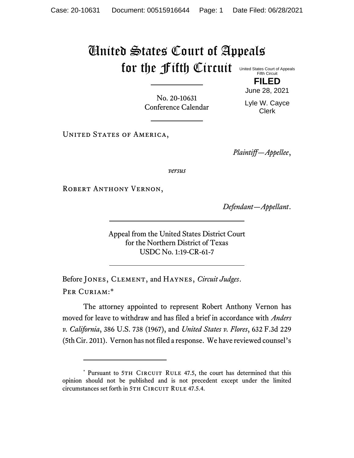## United States Court of Appeals for the fifth Circuit United States Court of Appeals

Fifth Circuit **FILED** June 28, 2021

No. 20-10631 Conference Calendar Lyle W. Cayce Clerk

UNITED STATES OF AMERICA,

*Plaintiff—Appellee*,

*versus*

ROBERT ANTHONY VERNON,

*Defendant—Appellant*.

Appeal from the United States District Court for the Northern District of Texas USDC No. 1:19-CR-61-7

Before Jones, Clement, and Haynes, *Circuit Judges*. Per Curiam:\*

The attorney appointed to represent Robert Anthony Vernon has moved for leave to withdraw and has filed a brief in accordance with *Anders v. California*, 386 U.S. 738 (1967), and *United States v. Flores*, 632 F.3d 229 (5th Cir. 2011). Vernon has not filed a response. We have reviewed counsel's

<sup>\*</sup> Pursuant to 5TH CIRCUIT RULE 47.5, the court has determined that this opinion should not be published and is not precedent except under the limited circumstances set forth in 5TH CIRCUIT RULE 47.5.4.